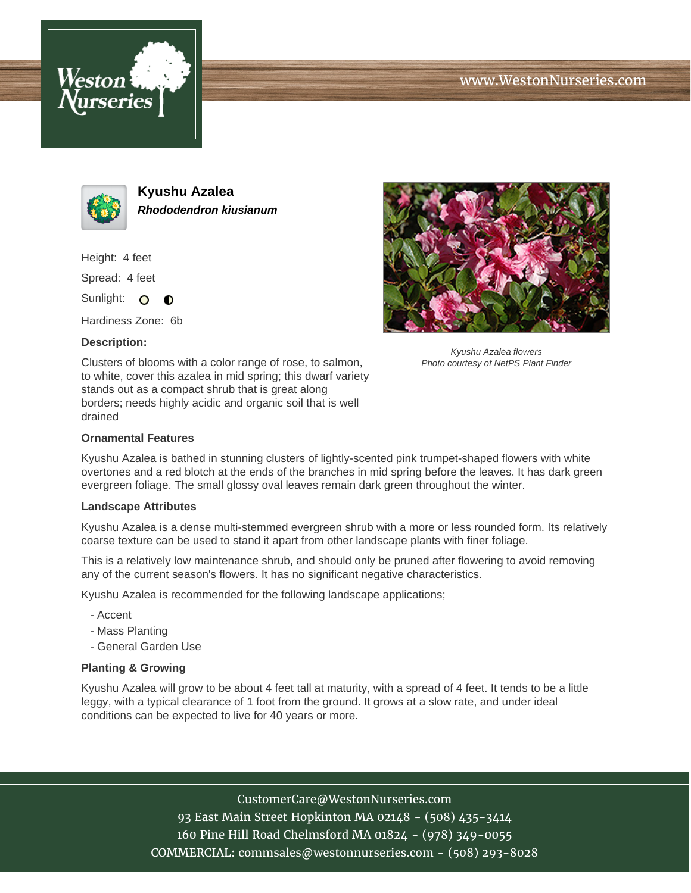





**Kyushu Azalea Rhododendron kiusianum**

Height: 4 feet

Spread: 4 feet

Sunlight: O  $\bullet$ 

Hardiness Zone: 6b

## **Description:**

Clusters of blooms with a color range of rose, to salmon, to white, cover this azalea in mid spring; this dwarf variety stands out as a compact shrub that is great along borders; needs highly acidic and organic soil that is well drained



Kyushu Azalea flowers Photo courtesy of NetPS Plant Finder

## **Ornamental Features**

Kyushu Azalea is bathed in stunning clusters of lightly-scented pink trumpet-shaped flowers with white overtones and a red blotch at the ends of the branches in mid spring before the leaves. It has dark green evergreen foliage. The small glossy oval leaves remain dark green throughout the winter.

## **Landscape Attributes**

Kyushu Azalea is a dense multi-stemmed evergreen shrub with a more or less rounded form. Its relatively coarse texture can be used to stand it apart from other landscape plants with finer foliage.

This is a relatively low maintenance shrub, and should only be pruned after flowering to avoid removing any of the current season's flowers. It has no significant negative characteristics.

Kyushu Azalea is recommended for the following landscape applications;

- Accent
- Mass Planting
- General Garden Use

## **Planting & Growing**

Kyushu Azalea will grow to be about 4 feet tall at maturity, with a spread of 4 feet. It tends to be a little leggy, with a typical clearance of 1 foot from the ground. It grows at a slow rate, and under ideal conditions can be expected to live for 40 years or more.

CustomerCare@WestonNurseries.com

93 East Main Street Hopkinton MA 02148 - (508) 435-3414 160 Pine Hill Road Chelmsford MA 01824 - (978) 349-0055 COMMERCIAL: commsales@westonnurseries.com - (508) 293-8028